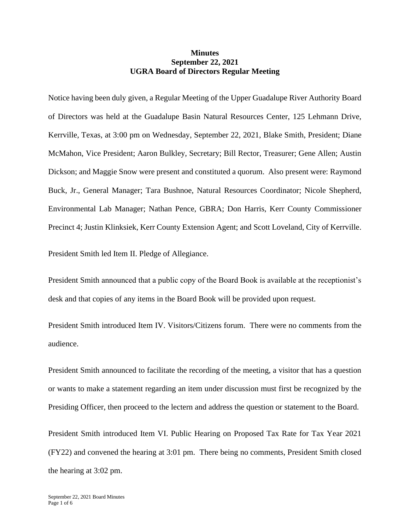## **Minutes September 22, 2021 UGRA Board of Directors Regular Meeting**

Notice having been duly given, a Regular Meeting of the Upper Guadalupe River Authority Board of Directors was held at the Guadalupe Basin Natural Resources Center, 125 Lehmann Drive, Kerrville, Texas, at 3:00 pm on Wednesday, September 22, 2021, Blake Smith, President; Diane McMahon, Vice President; Aaron Bulkley, Secretary; Bill Rector, Treasurer; Gene Allen; Austin Dickson; and Maggie Snow were present and constituted a quorum. Also present were: Raymond Buck, Jr., General Manager; Tara Bushnoe, Natural Resources Coordinator; Nicole Shepherd, Environmental Lab Manager; Nathan Pence, GBRA; Don Harris, Kerr County Commissioner Precinct 4; Justin Klinksiek, Kerr County Extension Agent; and Scott Loveland, City of Kerrville.

President Smith led Item II. Pledge of Allegiance.

President Smith announced that a public copy of the Board Book is available at the receptionist's desk and that copies of any items in the Board Book will be provided upon request.

President Smith introduced Item IV. Visitors/Citizens forum. There were no comments from the audience.

President Smith announced to facilitate the recording of the meeting, a visitor that has a question or wants to make a statement regarding an item under discussion must first be recognized by the Presiding Officer, then proceed to the lectern and address the question or statement to the Board.

President Smith introduced Item VI. Public Hearing on Proposed Tax Rate for Tax Year 2021 (FY22) and convened the hearing at 3:01 pm. There being no comments, President Smith closed the hearing at 3:02 pm.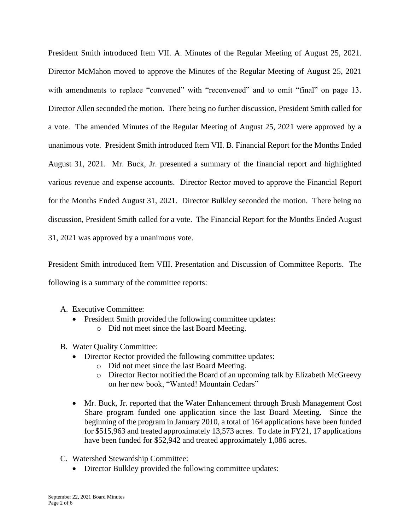President Smith introduced Item VII. A. Minutes of the Regular Meeting of August 25, 2021. Director McMahon moved to approve the Minutes of the Regular Meeting of August 25, 2021 with amendments to replace "convened" with "reconvened" and to omit "final" on page 13. Director Allen seconded the motion. There being no further discussion, President Smith called for a vote. The amended Minutes of the Regular Meeting of August 25, 2021 were approved by a unanimous vote. President Smith introduced Item VII. B. Financial Report for the Months Ended August 31, 2021. Mr. Buck, Jr. presented a summary of the financial report and highlighted various revenue and expense accounts. Director Rector moved to approve the Financial Report for the Months Ended August 31, 2021. Director Bulkley seconded the motion. There being no discussion, President Smith called for a vote. The Financial Report for the Months Ended August 31, 2021 was approved by a unanimous vote.

President Smith introduced Item VIII. Presentation and Discussion of Committee Reports. The following is a summary of the committee reports:

- A. Executive Committee:
	- President Smith provided the following committee updates: o Did not meet since the last Board Meeting.
- B. Water Quality Committee:
	- Director Rector provided the following committee updates:
		- o Did not meet since the last Board Meeting.
		- o Director Rector notified the Board of an upcoming talk by Elizabeth McGreevy on her new book, "Wanted! Mountain Cedars"
	- Mr. Buck, Jr. reported that the Water Enhancement through Brush Management Cost Share program funded one application since the last Board Meeting. Since the beginning of the program in January 2010, a total of 164 applications have been funded for \$515,963 and treated approximately 13,573 acres. To date in FY21, 17 applications have been funded for \$52,942 and treated approximately 1,086 acres.
- C. Watershed Stewardship Committee:
	- Director Bulkley provided the following committee updates: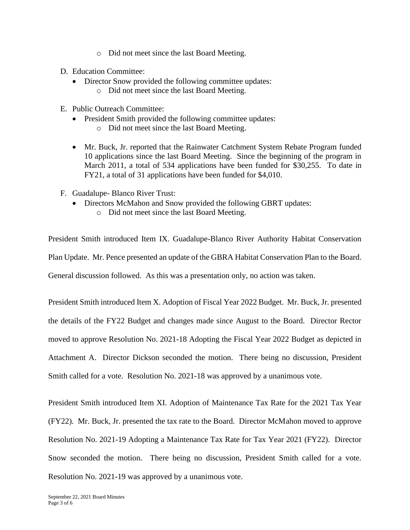- o Did not meet since the last Board Meeting.
- D. Education Committee:
	- Director Snow provided the following committee updates:
		- o Did not meet since the last Board Meeting.
- E. Public Outreach Committee:
	- President Smith provided the following committee updates:
		- o Did not meet since the last Board Meeting.
	- Mr. Buck, Jr. reported that the Rainwater Catchment System Rebate Program funded 10 applications since the last Board Meeting. Since the beginning of the program in March 2011, a total of 534 applications have been funded for \$30,255. To date in FY21, a total of 31 applications have been funded for \$4,010.
- F. Guadalupe- Blanco River Trust:
	- Directors McMahon and Snow provided the following GBRT updates:
		- o Did not meet since the last Board Meeting.

President Smith introduced Item IX. Guadalupe-Blanco River Authority Habitat Conservation Plan Update. Mr. Pence presented an update of the GBRA Habitat Conservation Plan to the Board. General discussion followed. As this was a presentation only, no action was taken.

President Smith introduced Item X. Adoption of Fiscal Year 2022 Budget. Mr. Buck, Jr. presented the details of the FY22 Budget and changes made since August to the Board. Director Rector moved to approve Resolution No. 2021-18 Adopting the Fiscal Year 2022 Budget as depicted in Attachment A. Director Dickson seconded the motion. There being no discussion, President Smith called for a vote. Resolution No. 2021-18 was approved by a unanimous vote.

President Smith introduced Item XI. Adoption of Maintenance Tax Rate for the 2021 Tax Year (FY22). Mr. Buck, Jr. presented the tax rate to the Board. Director McMahon moved to approve Resolution No. 2021-19 Adopting a Maintenance Tax Rate for Tax Year 2021 (FY22). Director Snow seconded the motion. There being no discussion, President Smith called for a vote. Resolution No. 2021-19 was approved by a unanimous vote.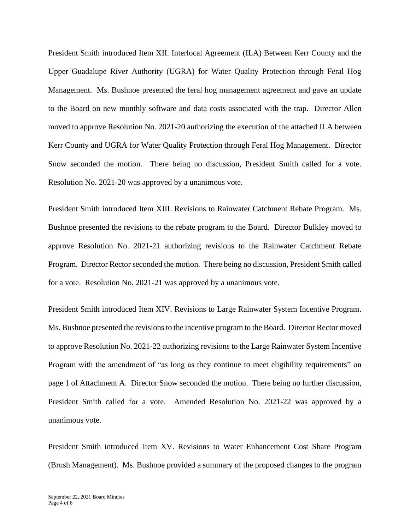President Smith introduced Item XII. Interlocal Agreement (ILA) Between Kerr County and the Upper Guadalupe River Authority (UGRA) for Water Quality Protection through Feral Hog Management. Ms. Bushnoe presented the feral hog management agreement and gave an update to the Board on new monthly software and data costs associated with the trap. Director Allen moved to approve Resolution No. 2021-20 authorizing the execution of the attached ILA between Kerr County and UGRA for Water Quality Protection through Feral Hog Management. Director Snow seconded the motion. There being no discussion, President Smith called for a vote. Resolution No. 2021-20 was approved by a unanimous vote.

President Smith introduced Item XIII. Revisions to Rainwater Catchment Rebate Program. Ms. Bushnoe presented the revisions to the rebate program to the Board. Director Bulkley moved to approve Resolution No. 2021-21 authorizing revisions to the Rainwater Catchment Rebate Program. Director Rector seconded the motion. There being no discussion, President Smith called for a vote. Resolution No. 2021-21 was approved by a unanimous vote.

President Smith introduced Item XIV. Revisions to Large Rainwater System Incentive Program. Ms. Bushnoe presented the revisions to the incentive program to the Board. Director Rector moved to approve Resolution No. 2021-22 authorizing revisions to the Large Rainwater System Incentive Program with the amendment of "as long as they continue to meet eligibility requirements" on page 1 of Attachment A. Director Snow seconded the motion. There being no further discussion, President Smith called for a vote. Amended Resolution No. 2021-22 was approved by a unanimous vote.

President Smith introduced Item XV. Revisions to Water Enhancement Cost Share Program (Brush Management). Ms. Bushnoe provided a summary of the proposed changes to the program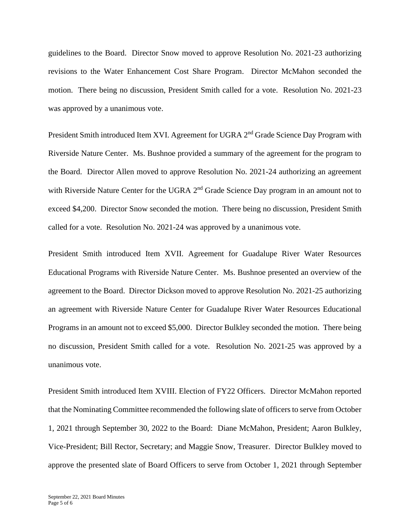guidelines to the Board. Director Snow moved to approve Resolution No. 2021-23 authorizing revisions to the Water Enhancement Cost Share Program. Director McMahon seconded the motion. There being no discussion, President Smith called for a vote. Resolution No. 2021-23 was approved by a unanimous vote.

President Smith introduced Item XVI. Agreement for UGRA 2<sup>nd</sup> Grade Science Day Program with Riverside Nature Center. Ms. Bushnoe provided a summary of the agreement for the program to the Board. Director Allen moved to approve Resolution No. 2021-24 authorizing an agreement with Riverside Nature Center for the UGRA  $2<sup>nd</sup>$  Grade Science Day program in an amount not to exceed \$4,200. Director Snow seconded the motion. There being no discussion, President Smith called for a vote. Resolution No. 2021-24 was approved by a unanimous vote.

President Smith introduced Item XVII. Agreement for Guadalupe River Water Resources Educational Programs with Riverside Nature Center. Ms. Bushnoe presented an overview of the agreement to the Board. Director Dickson moved to approve Resolution No. 2021-25 authorizing an agreement with Riverside Nature Center for Guadalupe River Water Resources Educational Programs in an amount not to exceed \$5,000. Director Bulkley seconded the motion. There being no discussion, President Smith called for a vote. Resolution No. 2021-25 was approved by a unanimous vote.

President Smith introduced Item XVIII. Election of FY22 Officers. Director McMahon reported that the Nominating Committee recommended the following slate of officers to serve from October 1, 2021 through September 30, 2022 to the Board: Diane McMahon, President; Aaron Bulkley, Vice-President; Bill Rector, Secretary; and Maggie Snow, Treasurer. Director Bulkley moved to approve the presented slate of Board Officers to serve from October 1, 2021 through September